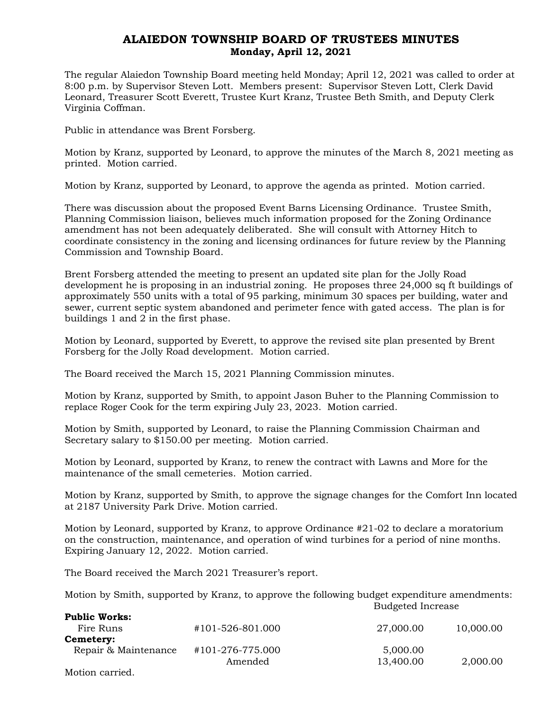## ALAIEDON TOWNSHIP BOARD OF TRUSTEES MINUTES Monday, April 12, 2021

The regular Alaiedon Township Board meeting held Monday; April 12, 2021 was called to order at 8:00 p.m. by Supervisor Steven Lott. Members present: Supervisor Steven Lott, Clerk David Leonard, Treasurer Scott Everett, Trustee Kurt Kranz, Trustee Beth Smith, and Deputy Clerk Virginia Coffman.

Public in attendance was Brent Forsberg.

Motion by Kranz, supported by Leonard, to approve the minutes of the March 8, 2021 meeting as printed. Motion carried.

Motion by Kranz, supported by Leonard, to approve the agenda as printed. Motion carried.

There was discussion about the proposed Event Barns Licensing Ordinance. Trustee Smith, Planning Commission liaison, believes much information proposed for the Zoning Ordinance amendment has not been adequately deliberated. She will consult with Attorney Hitch to coordinate consistency in the zoning and licensing ordinances for future review by the Planning Commission and Township Board.

Brent Forsberg attended the meeting to present an updated site plan for the Jolly Road development he is proposing in an industrial zoning. He proposes three 24,000 sq ft buildings of approximately 550 units with a total of 95 parking, minimum 30 spaces per building, water and sewer, current septic system abandoned and perimeter fence with gated access. The plan is for buildings 1 and 2 in the first phase.

Motion by Leonard, supported by Everett, to approve the revised site plan presented by Brent Forsberg for the Jolly Road development. Motion carried.

The Board received the March 15, 2021 Planning Commission minutes.

Motion by Kranz, supported by Smith, to appoint Jason Buher to the Planning Commission to replace Roger Cook for the term expiring July 23, 2023. Motion carried.

Motion by Smith, supported by Leonard, to raise the Planning Commission Chairman and Secretary salary to \$150.00 per meeting. Motion carried.

Motion by Leonard, supported by Kranz, to renew the contract with Lawns and More for the maintenance of the small cemeteries. Motion carried.

Motion by Kranz, supported by Smith, to approve the signage changes for the Comfort Inn located at 2187 University Park Drive. Motion carried.

Motion by Leonard, supported by Kranz, to approve Ordinance #21-02 to declare a moratorium on the construction, maintenance, and operation of wind turbines for a period of nine months. Expiring January 12, 2022. Motion carried.

The Board received the March 2021 Treasurer's report.

Motion by Smith, supported by Kranz, to approve the following budget expenditure amendments: Budgeted Increase

| <b>Public Works:</b> |                  |           |           |
|----------------------|------------------|-----------|-----------|
| Fire Runs            | #101-526-801.000 | 27,000.00 | 10,000.00 |
| Cemetery:            |                  |           |           |
| Repair & Maintenance | #101-276-775.000 | 5,000.00  |           |
|                      | Amended          | 13,400.00 | 2,000.00  |
| Motion carried.      |                  |           |           |